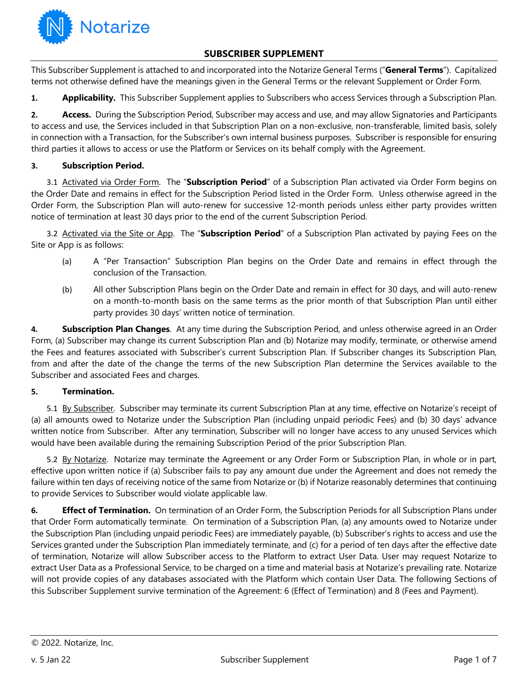

# **SUBSCRIBER SUPPLEMENT**

This Subscriber Supplement is attached to and incorporated into the Notarize General Terms ("**General Terms**"). Capitalized terms not otherwise defined have the meanings given in the General Terms or the relevant Supplement or Order Form.

**1. Applicability.** This Subscriber Supplement applies to Subscribers who access Services through a Subscription Plan.

**2. Access.** During the Subscription Period, Subscriber may access and use, and may allow Signatories and Participants to access and use, the Services included in that Subscription Plan on a non-exclusive, non-transferable, limited basis, solely in connection with a Transaction, for the Subscriber's own internal business purposes. Subscriber is responsible for ensuring third parties it allows to access or use the Platform or Services on its behalf comply with the Agreement.

### **3. Subscription Period.**

3.1 Activated via Order Form. The "**Subscription Period**" of a Subscription Plan activated via Order Form begins on the Order Date and remains in effect for the Subscription Period listed in the Order Form. Unless otherwise agreed in the Order Form, the Subscription Plan will auto-renew for successive 12-month periods unless either party provides written notice of termination at least 30 days prior to the end of the current Subscription Period.

3.2 Activated via the Site or App. The "**Subscription Period**" of a Subscription Plan activated by paying Fees on the Site or App is as follows:

- (a) A "Per Transaction" Subscription Plan begins on the Order Date and remains in effect through the conclusion of the Transaction.
- (b) All other Subscription Plans begin on the Order Date and remain in effect for 30 days, and will auto-renew on a month-to-month basis on the same terms as the prior month of that Subscription Plan until either party provides 30 days' written notice of termination.

**4. Subscription Plan Changes**. At any time during the Subscription Period, and unless otherwise agreed in an Order Form, (a) Subscriber may change its current Subscription Plan and (b) Notarize may modify, terminate, or otherwise amend the Fees and features associated with Subscriber's current Subscription Plan. If Subscriber changes its Subscription Plan, from and after the date of the change the terms of the new Subscription Plan determine the Services available to the Subscriber and associated Fees and charges.

## **5. Termination.**

5.1 By Subscriber. Subscriber may terminate its current Subscription Plan at any time, effective on Notarize's receipt of (a) all amounts owed to Notarize under the Subscription Plan (including unpaid periodic Fees) and (b) 30 days' advance written notice from Subscriber. After any termination, Subscriber will no longer have access to any unused Services which would have been available during the remaining Subscription Period of the prior Subscription Plan.

5.2 By Notarize. Notarize may terminate the Agreement or any Order Form or Subscription Plan, in whole or in part, effective upon written notice if (a) Subscriber fails to pay any amount due under the Agreement and does not remedy the failure within ten days of receiving notice of the same from Notarize or (b) if Notarize reasonably determines that continuing to provide Services to Subscriber would violate applicable law.

**6. Effect of Termination.** On termination of an Order Form, the Subscription Periods for all Subscription Plans under that Order Form automatically terminate. On termination of a Subscription Plan, (a) any amounts owed to Notarize under the Subscription Plan (including unpaid periodic Fees) are immediately payable, (b) Subscriber's rights to access and use the Services granted under the Subscription Plan immediately terminate, and (c) for a period of ten days after the effective date of termination, Notarize will allow Subscriber access to the Platform to extract User Data. User may request Notarize to extract User Data as a Professional Service, to be charged on a time and material basis at Notarize's prevailing rate. Notarize will not provide copies of any databases associated with the Platform which contain User Data. The following Sections of this Subscriber Supplement survive termination of the Agreement: 6 (Effect of Termination) and 8 (Fees and Payment).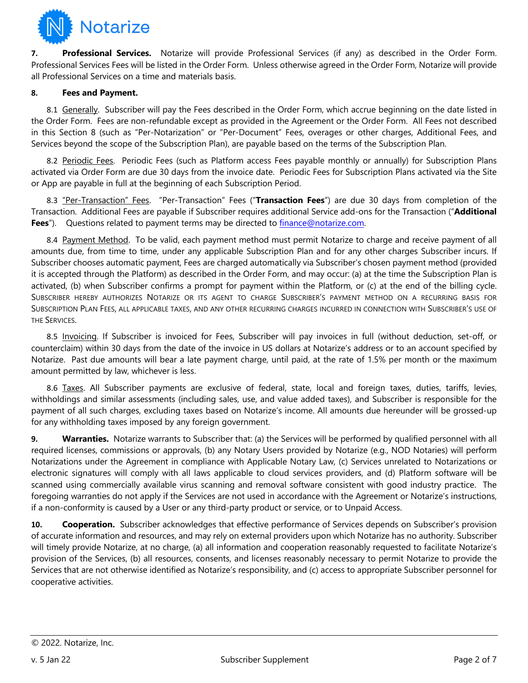

**7. Professional Services.** Notarize will provide Professional Services (if any) as described in the Order Form. Professional Services Fees will be listed in the Order Form. Unless otherwise agreed in the Order Form, Notarize will provide all Professional Services on a time and materials basis.

#### **8. Fees and Payment.**

8.1 Generally. Subscriber will pay the Fees described in the Order Form, which accrue beginning on the date listed in the Order Form. Fees are non-refundable except as provided in the Agreement or the Order Form. All Fees not described in this Section 8 (such as "Per-Notarization" or "Per-Document" Fees, overages or other charges, Additional Fees, and Services beyond the scope of the Subscription Plan), are payable based on the terms of the Subscription Plan.

8.2 Periodic Fees. Periodic Fees (such as Platform access Fees payable monthly or annually) for Subscription Plans activated via Order Form are due 30 days from the invoice date. Periodic Fees for Subscription Plans activated via the Site or App are payable in full at the beginning of each Subscription Period.

8.3 "Per-Transaction" Fees. "Per-Transaction" Fees ("**Transaction Fees**") are due 30 days from completion of the Transaction. Additional Fees are payable if Subscriber requires additional Service add-ons for the Transaction ("**Additional**  Fees<sup>"</sup>). Questions related to payment terms may be directed to finance@notarize.com.

8.4 Payment Method. To be valid, each payment method must permit Notarize to charge and receive payment of all amounts due, from time to time, under any applicable Subscription Plan and for any other charges Subscriber incurs. If Subscriber chooses automatic payment, Fees are charged automatically via Subscriber's chosen payment method (provided it is accepted through the Platform) as described in the Order Form, and may occur: (a) at the time the Subscription Plan is activated, (b) when Subscriber confirms a prompt for payment within the Platform, or (c) at the end of the billing cycle. SUBSCRIBER HEREBY AUTHORIZES NOTARIZE OR ITS AGENT TO CHARGE SUBSCRIBER'S PAYMENT METHOD ON A RECURRING BASIS FOR SUBSCRIPTION PLAN FEES, ALL APPLICABLE TAXES, AND ANY OTHER RECURRING CHARGES INCURRED IN CONNECTION WITH SUBSCRIBER'S USE OF THE SERVICES.

8.5 Invoicing. If Subscriber is invoiced for Fees, Subscriber will pay invoices in full (without deduction, set-off, or counterclaim) within 30 days from the date of the invoice in US dollars at Notarize's address or to an account specified by Notarize. Past due amounts will bear a late payment charge, until paid, at the rate of 1.5% per month or the maximum amount permitted by law, whichever is less.

8.6 Taxes. All Subscriber payments are exclusive of federal, state, local and foreign taxes, duties, tariffs, levies, withholdings and similar assessments (including sales, use, and value added taxes), and Subscriber is responsible for the payment of all such charges, excluding taxes based on Notarize's income. All amounts due hereunder will be grossed-up for any withholding taxes imposed by any foreign government.

**9. Warranties.** Notarize warrants to Subscriber that: (a) the Services will be performed by qualified personnel with all required licenses, commissions or approvals, (b) any Notary Users provided by Notarize (e.g., NOD Notaries) will perform Notarizations under the Agreement in compliance with Applicable Notary Law, (c) Services unrelated to Notarizations or electronic signatures will comply with all laws applicable to cloud services providers, and (d) Platform software will be scanned using commercially available virus scanning and removal software consistent with good industry practice. The foregoing warranties do not apply if the Services are not used in accordance with the Agreement or Notarize's instructions, if a non-conformity is caused by a User or any third-party product or service, or to Unpaid Access.

10. **Cooperation.** Subscriber acknowledges that effective performance of Services depends on Subscriber's provision of accurate information and resources, and may rely on external providers upon which Notarize has no authority. Subscriber will timely provide Notarize, at no charge, (a) all information and cooperation reasonably requested to facilitate Notarize's provision of the Services, (b) all resources, consents, and licenses reasonably necessary to permit Notarize to provide the Services that are not otherwise identified as Notarize's responsibility, and (c) access to appropriate Subscriber personnel for cooperative activities.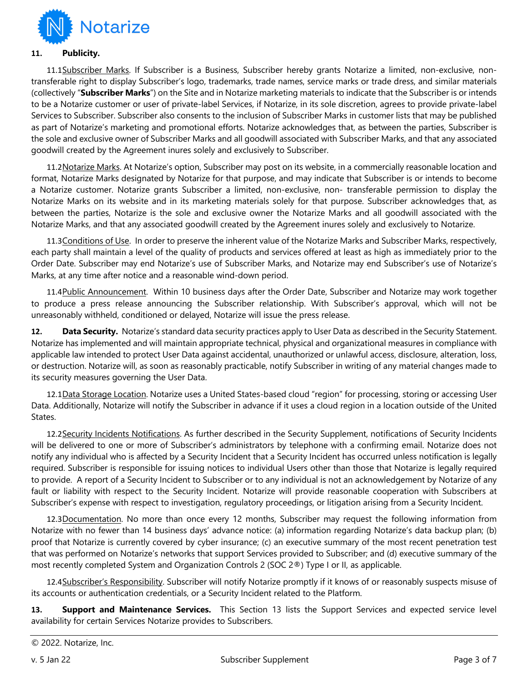

#### **11. Publicity.**

11.1Subscriber Marks. If Subscriber is a Business, Subscriber hereby grants Notarize a limited, non-exclusive, nontransferable right to display Subscriber's logo, trademarks, trade names, service marks or trade dress, and similar materials (collectively "**Subscriber Marks**") on the Site and in Notarize marketing materials to indicate that the Subscriber is or intends to be a Notarize customer or user of private-label Services, if Notarize, in its sole discretion, agrees to provide private-label Services to Subscriber. Subscriber also consents to the inclusion of Subscriber Marks in customer lists that may be published as part of Notarize's marketing and promotional efforts. Notarize acknowledges that, as between the parties, Subscriber is the sole and exclusive owner of Subscriber Marks and all goodwill associated with Subscriber Marks, and that any associated goodwill created by the Agreement inures solely and exclusively to Subscriber.

11.2Notarize Marks. At Notarize's option, Subscriber may post on its website, in a commercially reasonable location and format, Notarize Marks designated by Notarize for that purpose, and may indicate that Subscriber is or intends to become a Notarize customer. Notarize grants Subscriber a limited, non-exclusive, non- transferable permission to display the Notarize Marks on its website and in its marketing materials solely for that purpose. Subscriber acknowledges that, as between the parties, Notarize is the sole and exclusive owner the Notarize Marks and all goodwill associated with the Notarize Marks, and that any associated goodwill created by the Agreement inures solely and exclusively to Notarize.

11.3 Conditions of Use. In order to preserve the inherent value of the Notarize Marks and Subscriber Marks, respectively, each party shall maintain a level of the quality of products and services offered at least as high as immediately prior to the Order Date. Subscriber may end Notarize's use of Subscriber Marks, and Notarize may end Subscriber's use of Notarize's Marks, at any time after notice and a reasonable wind-down period.

11.4Public Announcement. Within 10 business days after the Order Date, Subscriber and Notarize may work together to produce a press release announcing the Subscriber relationship. With Subscriber's approval, which will not be unreasonably withheld, conditioned or delayed, Notarize will issue the press release.

**12. Data Security.** Notarize's standard data security practices apply to User Data as described in the Security Statement. Notarize has implemented and will maintain appropriate technical, physical and organizational measures in compliance with applicable law intended to protect User Data against accidental, unauthorized or unlawful access, disclosure, alteration, loss, or destruction. Notarize will, as soon as reasonably practicable, notify Subscriber in writing of any material changes made to its security measures governing the User Data.

12.1Data Storage Location. Notarize uses a United States-based cloud "region" for processing, storing or accessing User Data. Additionally, Notarize will notify the Subscriber in advance if it uses a cloud region in a location outside of the United States.

12.2Security Incidents Notifications. As further described in the Security Supplement, notifications of Security Incidents will be delivered to one or more of Subscriber's administrators by telephone with a confirming email. Notarize does not notify any individual who is affected by a Security Incident that a Security Incident has occurred unless notification is legally required. Subscriber is responsible for issuing notices to individual Users other than those that Notarize is legally required to provide. A report of a Security Incident to Subscriber or to any individual is not an acknowledgement by Notarize of any fault or liability with respect to the Security Incident. Notarize will provide reasonable cooperation with Subscribers at Subscriber's expense with respect to investigation, regulatory proceedings, or litigation arising from a Security Incident.

12.3Documentation. No more than once every 12 months, Subscriber may request the following information from Notarize with no fewer than 14 business days' advance notice: (a) information regarding Notarize's data backup plan; (b) proof that Notarize is currently covered by cyber insurance; (c) an executive summary of the most recent penetration test that was performed on Notarize's networks that support Services provided to Subscriber; and (d) executive summary of the most recently completed System and Organization Controls 2 (SOC 2®) Type I or II, as applicable.

12.4Subscriber's Responsibility. Subscriber will notify Notarize promptly if it knows of or reasonably suspects misuse of its accounts or authentication credentials, or a Security Incident related to the Platform.

**13. Support and Maintenance Services.** This Section 13 lists the Support Services and expected service level availability for certain Services Notarize provides to Subscribers.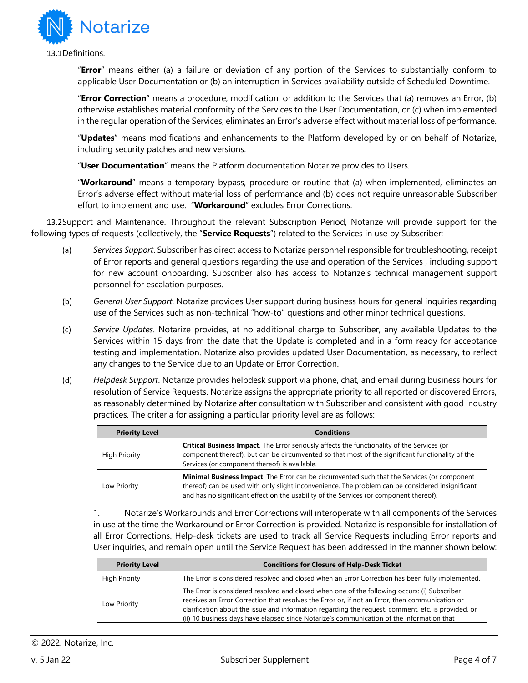

"**Error**" means either (a) a failure or deviation of any portion of the Services to substantially conform to applicable User Documentation or (b) an interruption in Services availability outside of Scheduled Downtime.

"**Error Correction**" means a procedure, modification, or addition to the Services that (a) removes an Error, (b) otherwise establishes material conformity of the Services to the User Documentation, or (c) when implemented in the regular operation of the Services, eliminates an Error's adverse effect without material loss of performance.

"**Updates**" means modifications and enhancements to the Platform developed by or on behalf of Notarize, including security patches and new versions.

"**User Documentation**" means the Platform documentation Notarize provides to Users.

"**Workaround**" means a temporary bypass, procedure or routine that (a) when implemented, eliminates an Error's adverse effect without material loss of performance and (b) does not require unreasonable Subscriber effort to implement and use. "**Workaround**" excludes Error Corrections.

13.2Support and Maintenance. Throughout the relevant Subscription Period, Notarize will provide support for the following types of requests (collectively, the "**Service Requests**") related to the Services in use by Subscriber:

- (a) *Services Support*. Subscriber has direct access to Notarize personnel responsible for troubleshooting, receipt of Error reports and general questions regarding the use and operation of the Services , including support for new account onboarding. Subscriber also has access to Notarize's technical management support personnel for escalation purposes.
- (b) *General User Support*. Notarize provides User support during business hours for general inquiries regarding use of the Services such as non-technical "how-to" questions and other minor technical questions.
- (c) *Service Updates*. Notarize provides, at no additional charge to Subscriber, any available Updates to the Services within 15 days from the date that the Update is completed and in a form ready for acceptance testing and implementation. Notarize also provides updated User Documentation, as necessary, to reflect any changes to the Service due to an Update or Error Correction.
- (d) *Helpdesk Support*. Notarize provides helpdesk support via phone, chat, and email during business hours for resolution of Service Requests. Notarize assigns the appropriate priority to all reported or discovered Errors, as reasonably determined by Notarize after consultation with Subscriber and consistent with good industry practices. The criteria for assigning a particular priority level are as follows:

| <b>Priority Level</b> | <b>Conditions</b>                                                                                                                                                                                                                                                                                 |
|-----------------------|---------------------------------------------------------------------------------------------------------------------------------------------------------------------------------------------------------------------------------------------------------------------------------------------------|
| <b>High Priority</b>  | <b>Critical Business Impact.</b> The Error seriously affects the functionality of the Services (or<br>component thereof), but can be circumvented so that most of the significant functionality of the<br>Services (or component thereof) is available.                                           |
| Low Priority          | <b>Minimal Business Impact</b> . The Error can be circumvented such that the Services (or component<br>thereof) can be used with only slight inconvenience. The problem can be considered insignificant<br>and has no significant effect on the usability of the Services (or component thereof). |

1. Notarize's Workarounds and Error Corrections will interoperate with all components of the Services in use at the time the Workaround or Error Correction is provided. Notarize is responsible for installation of all Error Corrections. Help-desk tickets are used to track all Service Requests including Error reports and User inquiries, and remain open until the Service Request has been addressed in the manner shown below:

| <b>Priority Level</b> | <b>Conditions for Closure of Help-Desk Ticket</b>                                                                                                                                                                                                                                                                                                                                                  |
|-----------------------|----------------------------------------------------------------------------------------------------------------------------------------------------------------------------------------------------------------------------------------------------------------------------------------------------------------------------------------------------------------------------------------------------|
| <b>High Priority</b>  | The Error is considered resolved and closed when an Error Correction has been fully implemented.                                                                                                                                                                                                                                                                                                   |
| Low Priority          | The Error is considered resolved and closed when one of the following occurs: (i) Subscriber<br>receives an Error Correction that resolves the Error or, if not an Error, then communication or<br>clarification about the issue and information regarding the request, comment, etc. is provided, or<br>(ii) 10 business days have elapsed since Notarize's communication of the information that |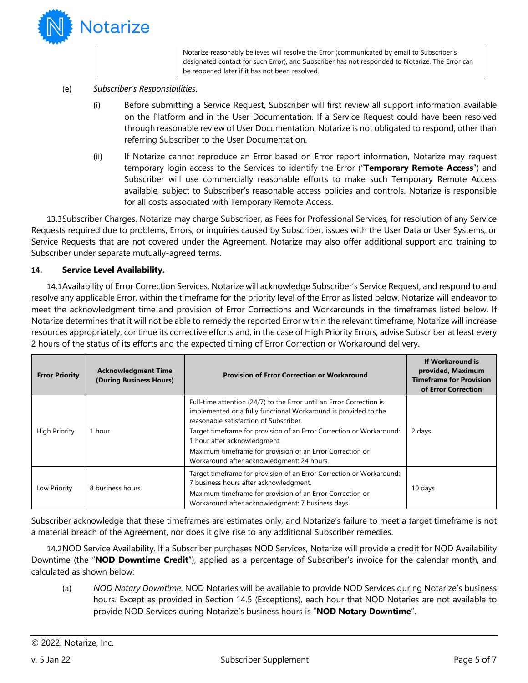

Notarize reasonably believes will resolve the Error (communicated by email to Subscriber's designated contact for such Error), and Subscriber has not responded to Notarize. The Error can be reopened later if it has not been resolved.

- (e) *Subscriber's Responsibilities*.
	- (i) Before submitting a Service Request, Subscriber will first review all support information available on the Platform and in the User Documentation. If a Service Request could have been resolved through reasonable review of User Documentation, Notarize is not obligated to respond, other than referring Subscriber to the User Documentation.
	- (ii) If Notarize cannot reproduce an Error based on Error report information, Notarize may request temporary login access to the Services to identify the Error ("**Temporary Remote Access**") and Subscriber will use commercially reasonable efforts to make such Temporary Remote Access available, subject to Subscriber's reasonable access policies and controls. Notarize is responsible for all costs associated with Temporary Remote Access.

13.3Subscriber Charges. Notarize may charge Subscriber, as Fees for Professional Services, for resolution of any Service Requests required due to problems, Errors, or inquiries caused by Subscriber, issues with the User Data or User Systems, or Service Requests that are not covered under the Agreement. Notarize may also offer additional support and training to Subscriber under separate mutually-agreed terms.

#### **14. Service Level Availability.**

14.1 Availability of Error Correction Services. Notarize will acknowledge Subscriber's Service Request, and respond to and resolve any applicable Error, within the timeframe for the priority level of the Error as listed below. Notarize will endeavor to meet the acknowledgment time and provision of Error Corrections and Workarounds in the timeframes listed below. If Notarize determines that it will not be able to remedy the reported Error within the relevant timeframe, Notarize will increase resources appropriately, continue its corrective efforts and, in the case of High Priority Errors, advise Subscriber at least every 2 hours of the status of its efforts and the expected timing of Error Correction or Workaround delivery.

| <b>Error Priority</b> | <b>Acknowledgment Time</b><br>(During Business Hours) | <b>Provision of Error Correction or Workaround</b>                                                                                                                                                                               | If Workaround is<br>provided, Maximum<br><b>Timeframe for Provision</b><br>of Error Correction |
|-----------------------|-------------------------------------------------------|----------------------------------------------------------------------------------------------------------------------------------------------------------------------------------------------------------------------------------|------------------------------------------------------------------------------------------------|
| <b>High Priority</b>  | 1 hour                                                | Full-time attention (24/7) to the Error until an Error Correction is<br>implemented or a fully functional Workaround is provided to the<br>reasonable satisfaction of Subscriber.                                                |                                                                                                |
|                       |                                                       | Target timeframe for provision of an Error Correction or Workaround:<br>1 hour after acknowledgment.<br>Maximum timeframe for provision of an Error Correction or<br>Workaround after acknowledgment: 24 hours.                  | 2 days                                                                                         |
| Low Priority          | 8 business hours                                      | Target timeframe for provision of an Error Correction or Workaround:<br>7 business hours after acknowledgment.<br>Maximum timeframe for provision of an Error Correction or<br>Workaround after acknowledgment: 7 business days. | 10 days                                                                                        |

Subscriber acknowledge that these timeframes are estimates only, and Notarize's failure to meet a target timeframe is not a material breach of the Agreement, nor does it give rise to any additional Subscriber remedies.

14.2NOD Service Availability. If a Subscriber purchases NOD Services, Notarize will provide a credit for NOD Availability Downtime (the "**NOD Downtime Credit**"), applied as a percentage of Subscriber's invoice for the calendar month, and calculated as shown below:

(a) *NOD Notary Downtime*. NOD Notaries will be available to provide NOD Services during Notarize's business hours. Except as provided in Section 14.5 (Exceptions), each hour that NOD Notaries are not available to provide NOD Services during Notarize's business hours is "**NOD Notary Downtime**".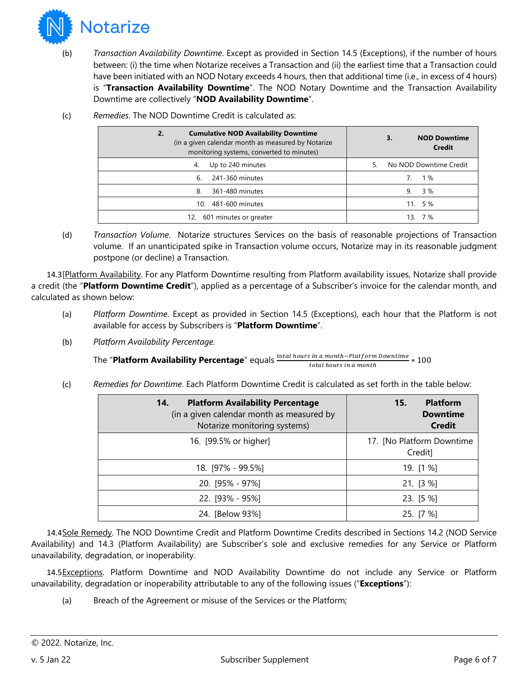

- (b) *Transaction Availability Downtime*. Except as provided in Section 14.5 (Exceptions), if the number of hours between: (i) the time when Notarize receives a Transaction and (ii) the earliest time that a Transaction could have been initiated with an NOD Notary exceeds 4 hours, then that additional time (i.e., in excess of 4 hours) is "**Transaction Availability Downtime**". The NOD Notary Downtime and the Transaction Availability Downtime are collectively "**NOD Availability Downtime**".
	- **2. Cumulative NOD Availability Downtime** (in a given calendar month as measured by Notarize monitoring systems, converted to minutes) **3. NOD Downtime Credit** 4. Up to 240 minutes and the state of the S. No NOD Downtime Credit 6. 241-360 minutes 7. 1 % 8. 361-480 minutes 8. 2012 12:00 12:00 12:00 12:00 12:00 12:00 12:00 12:00 12:00 12:00 12:00 12:00 12:00 12:00 12:00 12:00 12:00 12:00 12:00 12:00 12:00 12:00 12:00 12:00 12:00 12:00 12:00 12:00 12:00 12:00 12:00 12:00 12: 10. 481-600 minutes 11. 5 % 12. 601 minutes or greater 13. 7%
- (c) *Remedies*. The NOD Downtime Credit is calculated as:

(d) *Transaction Volume*. Notarize structures Services on the basis of reasonable projections of Transaction volume. If an unanticipated spike in Transaction volume occurs, Notarize may in its reasonable judgment postpone (or decline) a Transaction.

14.3[Platform Availability. For any Platform Downtime resulting from Platform availability issues, Notarize shall provide a credit (the "**Platform Downtime Credit**"), applied as a percentage of a Subscriber's invoice for the calendar month, and calculated as shown below:

- (a) *Platform Downtime*. Except as provided in Section 14.5 (Exceptions), each hour that the Platform is not available for access by Subscribers is "**Platform Downtime**".
- (b) *Platform Availability Percentage.*

The "**Platform Availability Percentage**" equals  $\frac{total~hours~in~a~month-Platform~Downtime}{total~hours~in~a~month} * 100$ 

(c) *Remedies for Downtime*. Each Platform Downtime Credit is calculated as set forth in the table below:

| <b>Platform Availability Percentage</b><br>14.<br>(in a given calendar month as measured by<br>Notarize monitoring systems) | <b>Platform</b><br>15.<br><b>Downtime</b><br><b>Credit</b> |
|-----------------------------------------------------------------------------------------------------------------------------|------------------------------------------------------------|
| 16. [99.5% or higher]                                                                                                       | 17. [No Platform Downtime<br>Credit]                       |
| 18. [97% - 99.5%]                                                                                                           | 19. [1 %]                                                  |
| $20.$ [95% - 97%]                                                                                                           | 21. [3%]                                                   |
| $22.$ [93% - 95%]                                                                                                           | $23.$ [5 %]                                                |
| 24. [Below 93%]                                                                                                             | 25. [7 %]                                                  |

14.4Sole Remedy. The NOD Downtime Credit and Platform Downtime Credits described in Sections 14.2 (NOD Service Availability) and 14.3 (Platform Availability) are Subscriber's sole and exclusive remedies for any Service or Platform unavailability, degradation, or inoperability.

14.5Exceptions. Platform Downtime and NOD Availability Downtime do not include any Service or Platform unavailability, degradation or inoperability attributable to any of the following issues ("**Exceptions**"):

(a) Breach of the Agreement or misuse of the Services or the Platform;